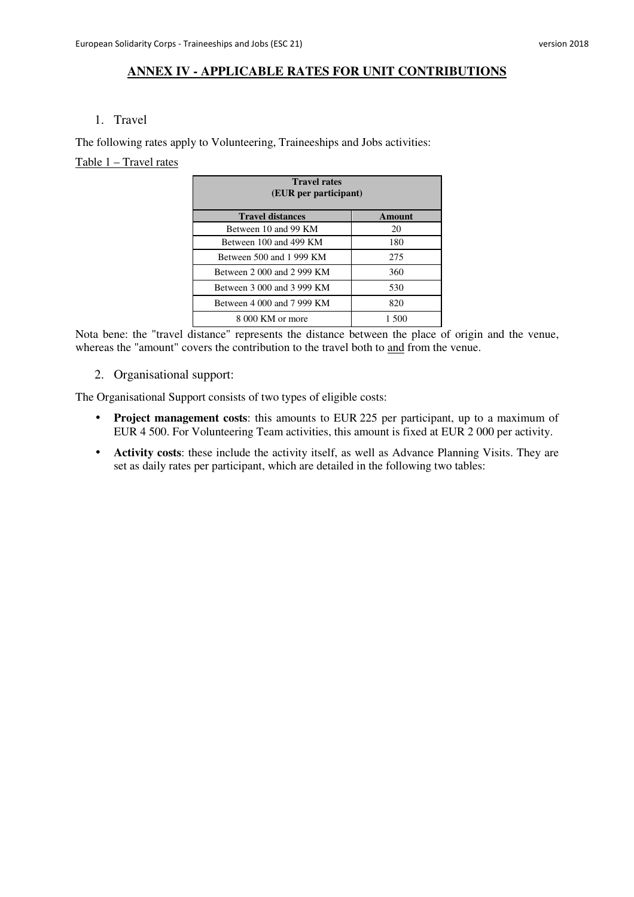#### **ANNEX IV - APPLICABLE RATES FOR UNIT CONTRIBUTIONS**

#### 1. Travel

The following rates apply to Volunteering, Traineeships and Jobs activities:

### Table 1 – Travel rates

| <b>Travel rates</b><br>(EUR per participant) |        |  |
|----------------------------------------------|--------|--|
| <b>Travel distances</b>                      | Amount |  |
| Between 10 and 99 KM                         | 20     |  |
| Between 100 and 499 KM                       | 180    |  |
| Between 500 and 1 999 KM                     | 275    |  |
| Between 2 000 and 2 999 KM                   | 360    |  |
| Between 3 000 and 3 999 KM                   | 530    |  |
| Between 4 000 and 7 999 KM                   | 820    |  |
| 8 000 KM or more                             | 1.500  |  |

Nota bene: the "travel distance" represents the distance between the place of origin and the venue, whereas the "amount" covers the contribution to the travel both to and from the venue.

2. Organisational support:

The Organisational Support consists of two types of eligible costs:

- **Project management costs**: this amounts to EUR 225 per participant, up to a maximum of EUR 4 500. For Volunteering Team activities, this amount is fixed at EUR 2 000 per activity.
- **Activity costs**: these include the activity itself, as well as Advance Planning Visits. They are set as daily rates per participant, which are detailed in the following two tables: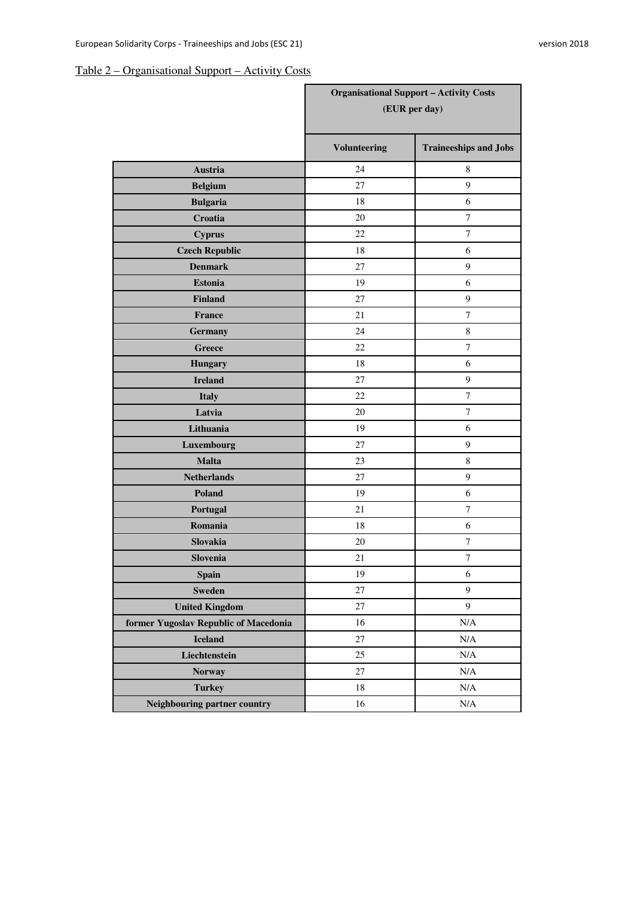# Table 2 – Organisational Support – Activity Costs

|                                       | <b>Organisational Support - Activity Costs</b><br>(EUR per day) |                              |
|---------------------------------------|-----------------------------------------------------------------|------------------------------|
|                                       | <b>Volunteering</b>                                             | <b>Traineeships and Jobs</b> |
| <b>Austria</b>                        | 24                                                              | 8                            |
| <b>Belgium</b>                        | 27                                                              | 9                            |
| <b>Bulgaria</b>                       | 18                                                              | 6                            |
| Croatia                               | 20                                                              | $\overline{7}$               |
| <b>Cyprus</b>                         | 22                                                              | $\overline{7}$               |
| <b>Czech Republic</b>                 | 18                                                              | 6                            |
| <b>Denmark</b>                        | 27                                                              | 9                            |
| <b>Estonia</b>                        | 19                                                              | 6                            |
| <b>Finland</b>                        | 27                                                              | 9                            |
| France                                | 21                                                              | 7                            |
| <b>Germany</b>                        | 24                                                              | $\,8\,$                      |
| <b>Greece</b>                         | 22                                                              | $\overline{7}$               |
| <b>Hungary</b>                        | 18                                                              | 6                            |
| <b>Ireland</b>                        | 27                                                              | 9                            |
| <b>Italy</b>                          | 22                                                              | $\boldsymbol{7}$             |
| Latvia                                | 20                                                              | $\overline{7}$               |
| Lithuania                             | 19                                                              | 6                            |
| Luxembourg                            | 27                                                              | $\boldsymbol{9}$             |
| <b>Malta</b>                          | 23                                                              | $\,8\,$                      |
| <b>Netherlands</b>                    | 27                                                              | $\boldsymbol{9}$             |
| Poland                                | 19                                                              | 6                            |
| Portugal                              | 21                                                              | $\boldsymbol{7}$             |
| Romania                               | 18                                                              | 6                            |
| Slovakia                              | 20                                                              | 7                            |
| Slovenia                              | 21                                                              | 7                            |
| <b>Spain</b>                          | 19                                                              | $\sqrt{6}$                   |
| <b>Sweden</b>                         | 27                                                              | $\overline{9}$               |
| <b>United Kingdom</b>                 | 27                                                              | 9                            |
| former Yugoslav Republic of Macedonia | 16                                                              | $\rm N/A$                    |
| <b>Iceland</b>                        | 27                                                              | $\rm N/A$                    |
| Liechtenstein                         | 25                                                              | $\rm N/A$                    |
| <b>Norway</b>                         | 27                                                              | $\rm N/A$                    |
| <b>Turkey</b>                         | 18                                                              | $\rm N/A$                    |
| Neighbouring partner country          | 16                                                              | $\rm N/A$                    |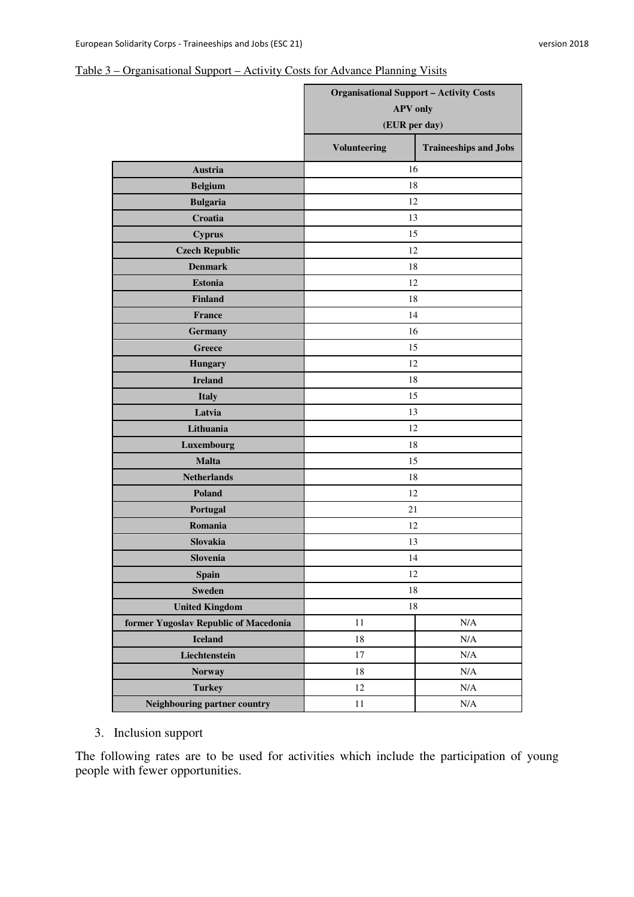### Table 3 – Organisational Support – Activity Costs for Advance Planning Visits

|                                       | <b>Organisational Support - Activity Costs</b><br><b>APV</b> only<br>(EUR per day) |                              |
|---------------------------------------|------------------------------------------------------------------------------------|------------------------------|
|                                       | <b>Volunteering</b>                                                                | <b>Traineeships and Jobs</b> |
| Austria                               | 16                                                                                 |                              |
| <b>Belgium</b>                        | 18                                                                                 |                              |
| <b>Bulgaria</b>                       | 12                                                                                 |                              |
| Croatia                               | 13                                                                                 |                              |
| <b>Cyprus</b>                         | 15                                                                                 |                              |
| <b>Czech Republic</b>                 | 12                                                                                 |                              |
| <b>Denmark</b>                        | 18                                                                                 |                              |
| <b>Estonia</b>                        | 12                                                                                 |                              |
| <b>Finland</b>                        | 18                                                                                 |                              |
| <b>France</b>                         | 14                                                                                 |                              |
| <b>Germany</b>                        | 16                                                                                 |                              |
| <b>Greece</b>                         | 15                                                                                 |                              |
| <b>Hungary</b>                        | 12                                                                                 |                              |
| <b>Ireland</b>                        | 18                                                                                 |                              |
| <b>Italy</b>                          | 15                                                                                 |                              |
| Latvia                                | 13                                                                                 |                              |
| Lithuania                             | 12                                                                                 |                              |
| Luxembourg                            | 18                                                                                 |                              |
| <b>Malta</b>                          | 15                                                                                 |                              |
| <b>Netherlands</b>                    | 18                                                                                 |                              |
| Poland                                | 12                                                                                 |                              |
| Portugal                              | 21                                                                                 |                              |
| Romania                               | 12                                                                                 |                              |
| Slovakia                              | 13                                                                                 |                              |
| Slovenia                              | 14                                                                                 |                              |
| <b>Spain</b>                          | 12                                                                                 |                              |
| <b>Sweden</b>                         | 18                                                                                 |                              |
| <b>United Kingdom</b>                 | 18                                                                                 |                              |
| former Yugoslav Republic of Macedonia | 11                                                                                 | N/A                          |
| <b>Iceland</b>                        | 18                                                                                 | N/A                          |
| Liechtenstein                         | $17\,$                                                                             | $\rm N/A$                    |
| <b>Norway</b>                         | 18                                                                                 | $\rm N/A$                    |
| <b>Turkey</b>                         | 12                                                                                 | $\rm N/A$                    |
| Neighbouring partner country          | 11                                                                                 | $\rm N/A$                    |

3. Inclusion support

The following rates are to be used for activities which include the participation of young people with fewer opportunities.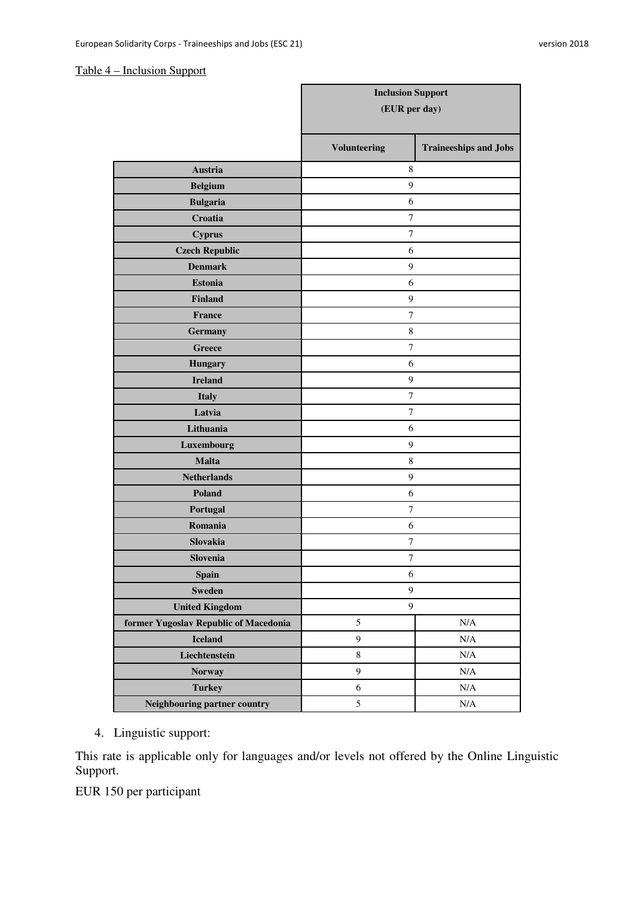### Table 4 – Inclusion Support

|                                       | <b>Inclusion Support</b><br>(EUR per day) |                              |
|---------------------------------------|-------------------------------------------|------------------------------|
|                                       |                                           |                              |
|                                       | <b>Volunteering</b>                       | <b>Traineeships and Jobs</b> |
| <b>Austria</b>                        | 8                                         |                              |
| <b>Belgium</b>                        | 9                                         |                              |
| <b>Bulgaria</b>                       | 6                                         |                              |
| Croatia                               | $\tau$                                    |                              |
| <b>Cyprus</b>                         | $\tau$                                    |                              |
| <b>Czech Republic</b>                 | 6                                         |                              |
| <b>Denmark</b>                        | 9                                         |                              |
| <b>Estonia</b>                        | 6                                         |                              |
| <b>Finland</b>                        | 9                                         |                              |
| France                                | 7                                         |                              |
| <b>Germany</b>                        | $\,$ 8 $\,$                               |                              |
| <b>Greece</b>                         | $\tau$                                    |                              |
| <b>Hungary</b>                        | 6                                         |                              |
| <b>Ireland</b>                        | 9                                         |                              |
| <b>Italy</b>                          | $\tau$                                    |                              |
| Latvia                                | $\tau$                                    |                              |
| Lithuania                             | 6                                         |                              |
| Luxembourg                            | $\mathbf{9}$                              |                              |
| <b>Malta</b>                          | $\,$ 8 $\,$                               |                              |
| <b>Netherlands</b>                    | 9                                         |                              |
| Poland                                | 6                                         |                              |
| Portugal                              | $\boldsymbol{7}$                          |                              |
| Romania                               | 6                                         |                              |
| Slovakia                              | 7                                         |                              |
| <b>Slovenia</b>                       | 7                                         |                              |
| <b>Spain</b>                          | $\sqrt{6}$                                |                              |
| <b>Sweden</b>                         | $\boldsymbol{9}$                          |                              |
| <b>United Kingdom</b>                 | $\overline{9}$                            |                              |
| former Yugoslav Republic of Macedonia | 5                                         | $\rm N/A$                    |
| <b>Iceland</b>                        | 9                                         | $\rm N/A$                    |
| Liechtenstein                         | $\,8\,$                                   | $\rm N/A$                    |
| <b>Norway</b>                         | 9                                         | $\rm N/A$                    |
| <b>Turkey</b>                         | 6                                         | $\rm N/A$                    |
| Neighbouring partner country          | 5                                         | $\rm N/A$                    |

4. Linguistic support:

This rate is applicable only for languages and/or levels not offered by the Online Linguistic Support.

EUR 150 per participant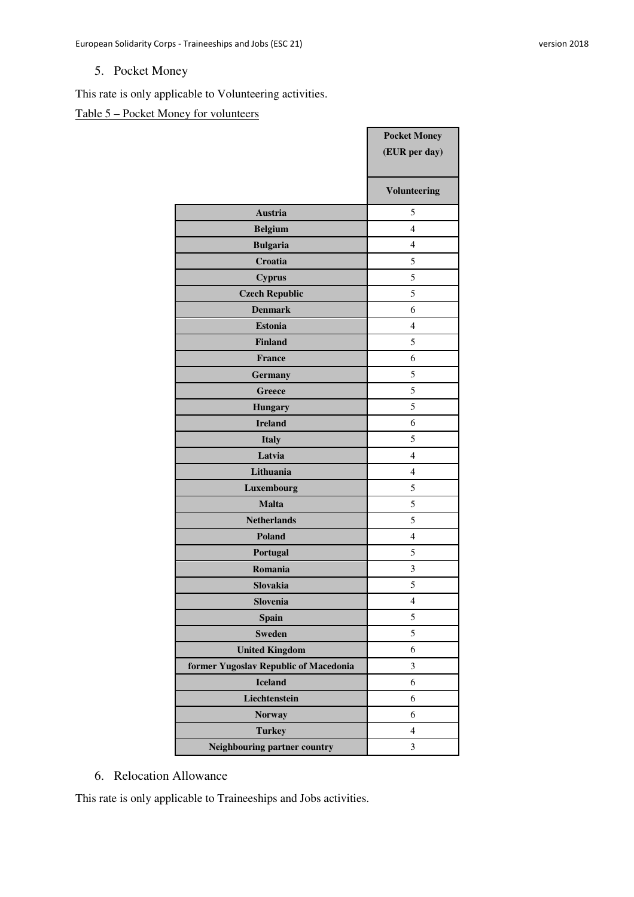# 5. Pocket Money

This rate is only applicable to Volunteering activities.

# Table 5 – Pocket Money for volunteers

|                                       | <b>Pocket Money</b><br>(EUR per day) |
|---------------------------------------|--------------------------------------|
|                                       | <b>Volunteering</b>                  |
| <b>Austria</b>                        | 5                                    |
| <b>Belgium</b>                        | $\overline{4}$                       |
| <b>Bulgaria</b>                       | $\overline{4}$                       |
| Croatia                               | 5                                    |
| <b>Cyprus</b>                         | 5                                    |
| <b>Czech Republic</b>                 | 5                                    |
| <b>Denmark</b>                        | 6                                    |
| <b>Estonia</b>                        | $\overline{4}$                       |
| <b>Finland</b>                        | 5                                    |
| <b>France</b>                         | 6                                    |
| <b>Germany</b>                        | 5                                    |
| <b>Greece</b>                         | 5                                    |
| <b>Hungary</b>                        | 5                                    |
| <b>Ireland</b>                        | 6                                    |
| <b>Italy</b>                          | 5                                    |
| Latvia                                | $\overline{4}$                       |
| Lithuania                             | $\overline{4}$                       |
| Luxembourg                            | 5                                    |
| <b>Malta</b>                          | 5                                    |
| <b>Netherlands</b>                    | 5                                    |
| Poland                                | $\overline{4}$                       |
| Portugal                              | 5                                    |
| Romania                               | 3                                    |
| Slovakia                              | 5                                    |
| Slovenia                              | $\overline{4}$                       |
| <b>Spain</b>                          | 5                                    |
| <b>Sweden</b>                         | 5                                    |
| <b>United Kingdom</b>                 | 6                                    |
| former Yugoslav Republic of Macedonia | 3                                    |
| <b>Iceland</b>                        | 6                                    |
| Liechtenstein                         | 6                                    |
| <b>Norway</b>                         | 6                                    |
| <b>Turkey</b>                         | $\overline{4}$                       |
| Neighbouring partner country          | 3                                    |

### 6. Relocation Allowance

This rate is only applicable to Traineeships and Jobs activities.